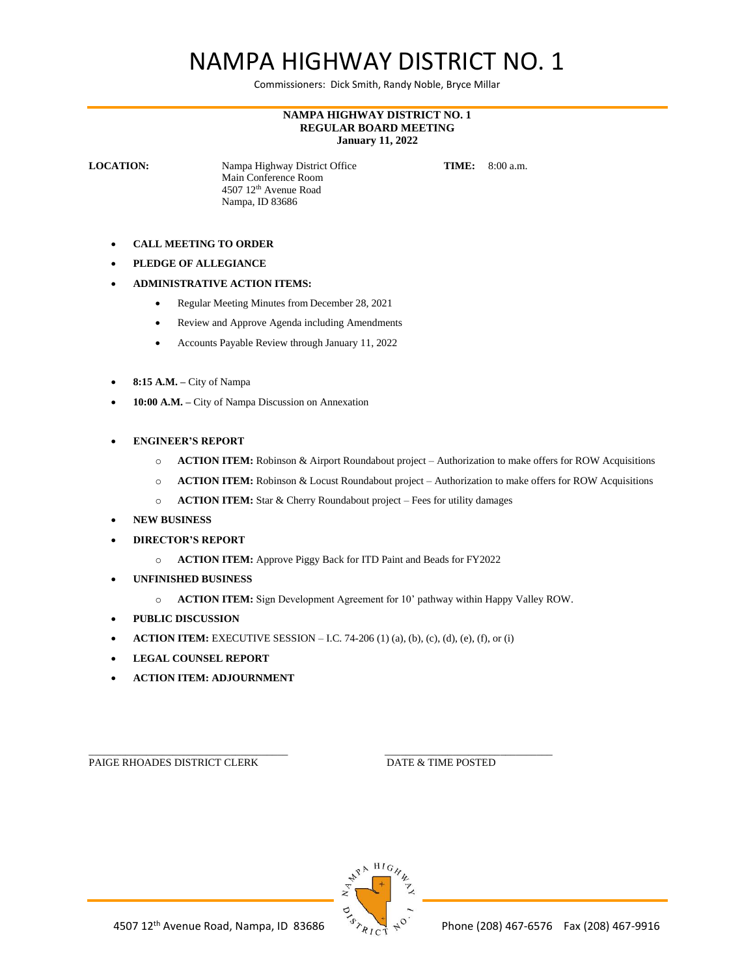## NAMPA HIGHWAY DISTRICT NO. 1

Commissioners: Dick Smith, Randy Noble, Bryce Millar

## **NAMPA HIGHWAY DISTRICT NO. 1 REGULAR BOARD MEETING January 11, 2022**

**LOCATION:** Nampa Highway District Office **TIME:** 8:00 a.m. Main Conference Room 4507 12th Avenue Road Nampa, ID 83686

- **CALL MEETING TO ORDER**
- **PLEDGE OF ALLEGIANCE**
- **ADMINISTRATIVE ACTION ITEMS:**
	- Regular Meeting Minutes from December 28, 2021
	- Review and Approve Agenda including Amendments
	- Accounts Payable Review through January 11, 2022
- **8:15 A.M. –** City of Nampa
- **10:00 A.M. –** City of Nampa Discussion on Annexation
- **ENGINEER'S REPORT**
	- o **ACTION ITEM:** Robinson & Airport Roundabout project Authorization to make offers for ROW Acquisitions
	- o **ACTION ITEM:** Robinson & Locust Roundabout project Authorization to make offers for ROW Acquisitions
	- o **ACTION ITEM:** Star & Cherry Roundabout project Fees for utility damages
- **NEW BUSINESS**
- **DIRECTOR'S REPORT**
	- o **ACTION ITEM:** Approve Piggy Back for ITD Paint and Beads for FY2022
- **UNFINISHED BUSINESS**
	- o **ACTION ITEM:** Sign Development Agreement for 10' pathway within Happy Valley ROW.
- **PUBLIC DISCUSSION**
- **ACTION ITEM:** EXECUTIVE SESSION I.C. 74-206 (1) (a), (b), (c), (d), (e), (f), or (i)
- **LEGAL COUNSEL REPORT**
- **ACTION ITEM: ADJOURNMENT**

\_\_\_\_\_\_\_\_\_\_\_\_\_\_\_\_\_\_\_\_\_\_\_\_\_\_\_\_\_\_\_\_\_\_\_\_\_\_ \_\_\_\_\_\_\_\_\_\_\_\_\_\_\_\_\_\_\_\_\_\_\_\_\_\_\_\_\_\_\_\_ PAIGE RHOADES DISTRICT CLERK DATE & TIME POSTED

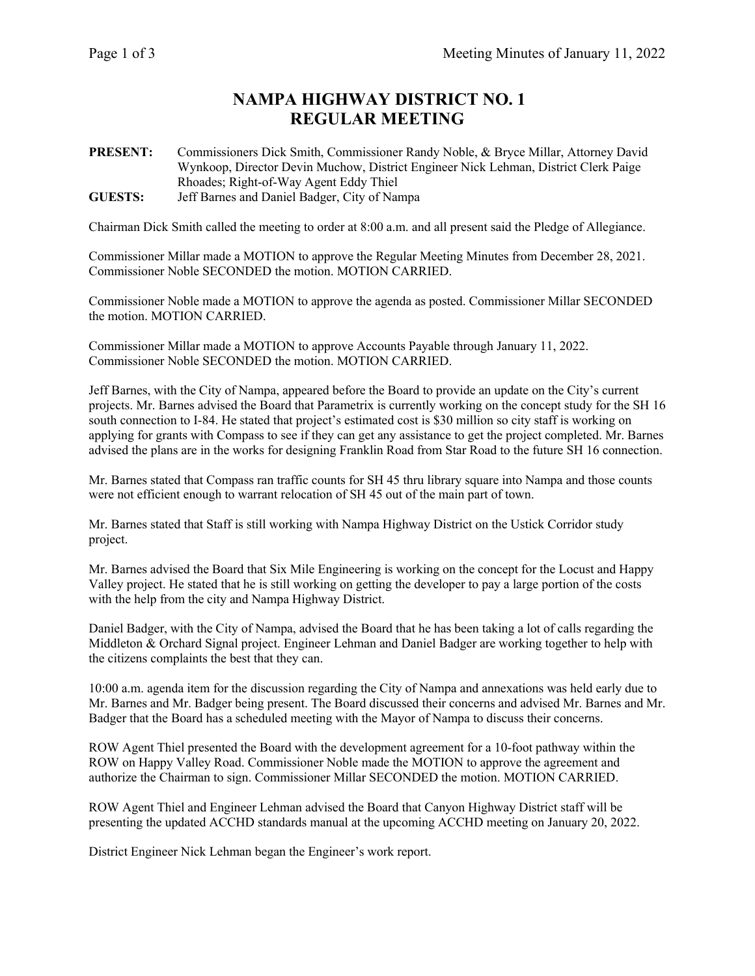## **NAMPA HIGHWAY DISTRICT NO. 1 REGULAR MEETING**

**PRESENT:** Commissioners Dick Smith, Commissioner Randy Noble, & Bryce Millar, Attorney David Wynkoop, Director Devin Muchow, District Engineer Nick Lehman, District Clerk Paige Rhoades; Right-of-Way Agent Eddy Thiel **GUESTS:** Jeff Barnes and Daniel Badger, City of Nampa

Chairman Dick Smith called the meeting to order at 8:00 a.m. and all present said the Pledge of Allegiance.

Commissioner Millar made a MOTION to approve the Regular Meeting Minutes from December 28, 2021. Commissioner Noble SECONDED the motion. MOTION CARRIED.

Commissioner Noble made a MOTION to approve the agenda as posted. Commissioner Millar SECONDED the motion. MOTION CARRIED.

Commissioner Millar made a MOTION to approve Accounts Payable through January 11, 2022. Commissioner Noble SECONDED the motion. MOTION CARRIED.

Jeff Barnes, with the City of Nampa, appeared before the Board to provide an update on the City's current projects. Mr. Barnes advised the Board that Parametrix is currently working on the concept study for the SH 16 south connection to I-84. He stated that project's estimated cost is \$30 million so city staff is working on applying for grants with Compass to see if they can get any assistance to get the project completed. Mr. Barnes advised the plans are in the works for designing Franklin Road from Star Road to the future SH 16 connection.

Mr. Barnes stated that Compass ran traffic counts for SH 45 thru library square into Nampa and those counts were not efficient enough to warrant relocation of SH 45 out of the main part of town.

Mr. Barnes stated that Staff is still working with Nampa Highway District on the Ustick Corridor study project.

Mr. Barnes advised the Board that Six Mile Engineering is working on the concept for the Locust and Happy Valley project. He stated that he is still working on getting the developer to pay a large portion of the costs with the help from the city and Nampa Highway District.

Daniel Badger, with the City of Nampa, advised the Board that he has been taking a lot of calls regarding the Middleton & Orchard Signal project. Engineer Lehman and Daniel Badger are working together to help with the citizens complaints the best that they can.

10:00 a.m. agenda item for the discussion regarding the City of Nampa and annexations was held early due to Mr. Barnes and Mr. Badger being present. The Board discussed their concerns and advised Mr. Barnes and Mr. Badger that the Board has a scheduled meeting with the Mayor of Nampa to discuss their concerns.

ROW Agent Thiel presented the Board with the development agreement for a 10-foot pathway within the ROW on Happy Valley Road. Commissioner Noble made the MOTION to approve the agreement and authorize the Chairman to sign. Commissioner Millar SECONDED the motion. MOTION CARRIED.

ROW Agent Thiel and Engineer Lehman advised the Board that Canyon Highway District staff will be presenting the updated ACCHD standards manual at the upcoming ACCHD meeting on January 20, 2022.

District Engineer Nick Lehman began the Engineer's work report.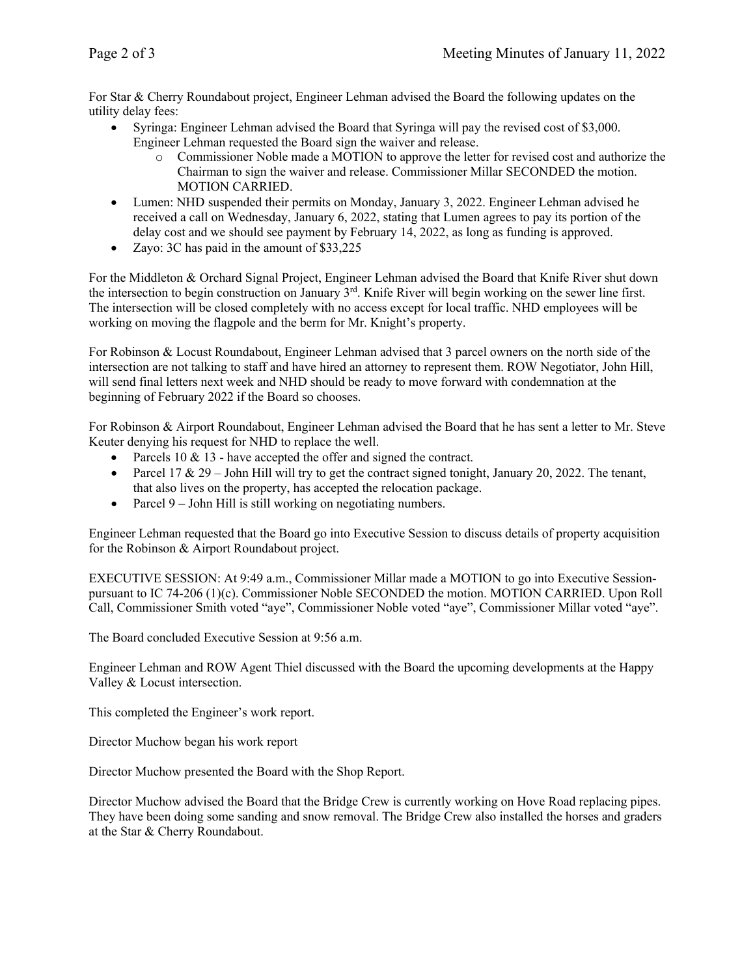For Star & Cherry Roundabout project, Engineer Lehman advised the Board the following updates on the utility delay fees:

- Syringa: Engineer Lehman advised the Board that Syringa will pay the revised cost of \$3,000. Engineer Lehman requested the Board sign the waiver and release.
	- o Commissioner Noble made a MOTION to approve the letter for revised cost and authorize the Chairman to sign the waiver and release. Commissioner Millar SECONDED the motion. MOTION CARRIED.
- Lumen: NHD suspended their permits on Monday, January 3, 2022. Engineer Lehman advised he received a call on Wednesday, January 6, 2022, stating that Lumen agrees to pay its portion of the delay cost and we should see payment by February 14, 2022, as long as funding is approved.
- Zayo: 3C has paid in the amount of \$33,225

For the Middleton & Orchard Signal Project, Engineer Lehman advised the Board that Knife River shut down the intersection to begin construction on January 3rd. Knife River will begin working on the sewer line first. The intersection will be closed completely with no access except for local traffic. NHD employees will be working on moving the flagpole and the berm for Mr. Knight's property.

For Robinson & Locust Roundabout, Engineer Lehman advised that 3 parcel owners on the north side of the intersection are not talking to staff and have hired an attorney to represent them. ROW Negotiator, John Hill, will send final letters next week and NHD should be ready to move forward with condemnation at the beginning of February 2022 if the Board so chooses.

For Robinson & Airport Roundabout, Engineer Lehman advised the Board that he has sent a letter to Mr. Steve Keuter denying his request for NHD to replace the well.

- Parcels  $10 \& 13$  have accepted the offer and signed the contract.
- Parcel 17 & 29 John Hill will try to get the contract signed tonight, January 20, 2022. The tenant, that also lives on the property, has accepted the relocation package.
- Parcel 9 John Hill is still working on negotiating numbers.

Engineer Lehman requested that the Board go into Executive Session to discuss details of property acquisition for the Robinson & Airport Roundabout project.

EXECUTIVE SESSION: At 9:49 a.m., Commissioner Millar made a MOTION to go into Executive Sessionpursuant to IC 74-206 (1)(c). Commissioner Noble SECONDED the motion. MOTION CARRIED. Upon Roll Call, Commissioner Smith voted "aye", Commissioner Noble voted "aye", Commissioner Millar voted "aye".

The Board concluded Executive Session at 9:56 a.m.

Engineer Lehman and ROW Agent Thiel discussed with the Board the upcoming developments at the Happy Valley & Locust intersection.

This completed the Engineer's work report.

Director Muchow began his work report

Director Muchow presented the Board with the Shop Report.

Director Muchow advised the Board that the Bridge Crew is currently working on Hove Road replacing pipes. They have been doing some sanding and snow removal. The Bridge Crew also installed the horses and graders at the Star & Cherry Roundabout.